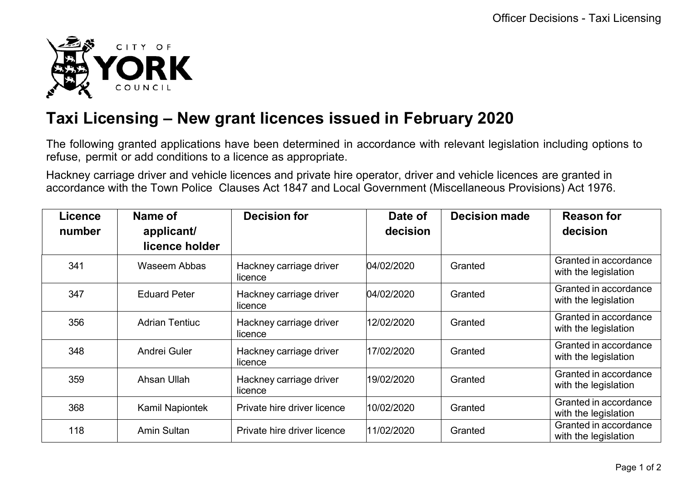

## **Taxi Licensing – New grant licences issued in February 2020**

The following granted applications have been determined in accordance with relevant legislation including options to refuse, permit or add conditions to a licence as appropriate.

Hackney carriage driver and vehicle licences and private hire operator, driver and vehicle licences are granted in accordance with the Town Police Clauses Act 1847 and Local Government (Miscellaneous Provisions) Act 1976.

| Licence | Name of                | <b>Decision for</b>                | Date of    | <b>Decision made</b> | <b>Reason for</b>                             |
|---------|------------------------|------------------------------------|------------|----------------------|-----------------------------------------------|
| number  | applicant/             |                                    | decision   |                      | decision                                      |
|         | licence holder         |                                    |            |                      |                                               |
| 341     | <b>Waseem Abbas</b>    | Hackney carriage driver<br>licence | 04/02/2020 | Granted              | Granted in accordance<br>with the legislation |
| 347     | <b>Eduard Peter</b>    | Hackney carriage driver<br>licence | 04/02/2020 | Granted              | Granted in accordance<br>with the legislation |
| 356     | <b>Adrian Tentiuc</b>  | Hackney carriage driver<br>licence | 12/02/2020 | Granted              | Granted in accordance<br>with the legislation |
| 348     | Andrei Guler           | Hackney carriage driver<br>licence | 17/02/2020 | Granted              | Granted in accordance<br>with the legislation |
| 359     | Ahsan Ullah            | Hackney carriage driver<br>licence | 19/02/2020 | Granted              | Granted in accordance<br>with the legislation |
| 368     | <b>Kamil Napiontek</b> | Private hire driver licence        | 10/02/2020 | Granted              | Granted in accordance<br>with the legislation |
| 118     | <b>Amin Sultan</b>     | Private hire driver licence        | 11/02/2020 | Granted              | Granted in accordance<br>with the legislation |